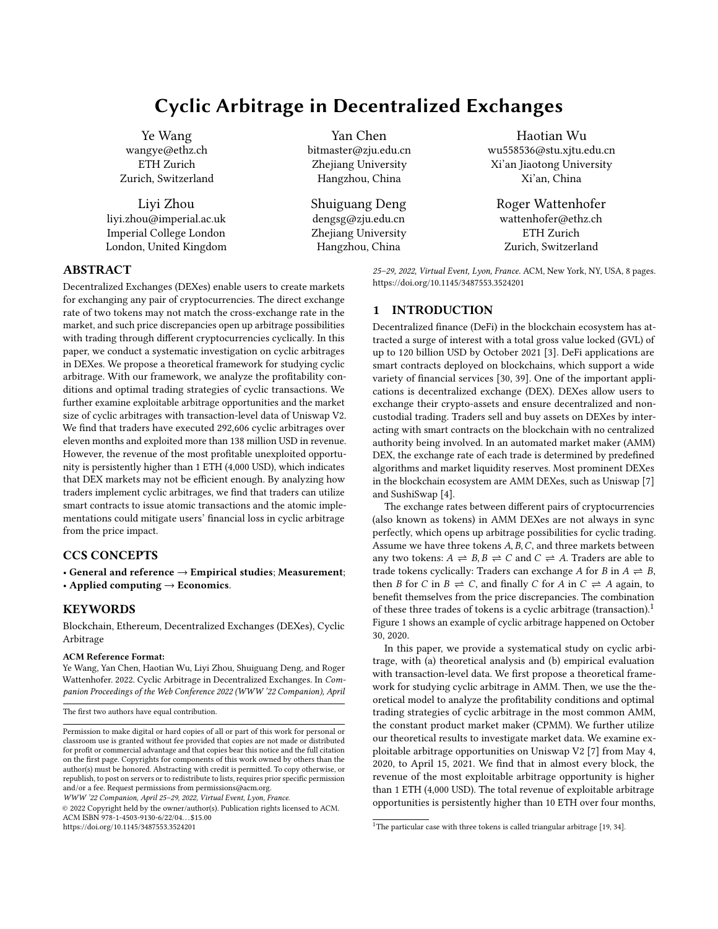# Cyclic Arbitrage in Decentralized Exchanges

Ye Wang wangye@ethz.ch ETH Zurich Zurich, Switzerland

Liyi Zhou liyi.zhou@imperial.ac.uk Imperial College London London, United Kingdom

Decentralized Exchanges (DEXes) enable users to create markets for exchanging any pair of cryptocurrencies. The direct exchange rate of two tokens may not match the cross-exchange rate in the market, and such price discrepancies open up arbitrage possibilities with trading through different cryptocurrencies cyclically. In this paper, we conduct a systematic investigation on cyclic arbitrages in DEXes. We propose a theoretical framework for studying cyclic arbitrage. With our framework, we analyze the profitability conditions and optimal trading strategies of cyclic transactions. We further examine exploitable arbitrage opportunities and the market size of cyclic arbitrages with transaction-level data of Uniswap V2. We find that traders have executed 292,606 cyclic arbitrages over eleven months and exploited more than 138 million USD in revenue. However, the revenue of the most profitable unexploited opportunity is persistently higher than 1 ETH (4,000 USD), which indicates that DEX markets may not be efficient enough. By analyzing how traders implement cyclic arbitrages, we find that traders can utilize smart contracts to issue atomic transactions and the atomic implementations could mitigate users' financial loss in cyclic arbitrage

• General and reference → Empirical studies; Measurement;

Blockchain, Ethereum, Decentralized Exchanges (DEXes), Cyclic

Ye Wang, Yan Chen, Haotian Wu, Liyi Zhou, Shuiguang Deng, and Roger Wattenhofer. 2022. Cyclic Arbitrage in Decentralized Exchanges. In Companion Proceedings of the Web Conference 2022 (WWW '22 Companion), April

Permission to make digital or hard copies of all or part of this work for personal or classroom use is granted without fee provided that copies are not made or distributed for profit or commercial advantage and that copies bear this notice and the full citation on the first page. Copyrights for components of this work owned by others than the author(s) must be honored. Abstracting with credit is permitted. To copy otherwise, or republish, to post on servers or to redistribute to lists, requires prior specific permission

ABSTRACT

from the price impact.

CCS CONCEPTS

ACM Reference Format:

KEYWORDS

Arbitrage

• Applied computing  $\rightarrow$  Economics.

The first two authors have equal contribution.

Yan Chen bitmaster@zju.edu.cn Zhejiang University Hangzhou, China

Shuiguang Deng dengsg@zju.edu.cn Zhejiang University Hangzhou, China

Haotian Wu wu558536@stu.xjtu.edu.cn Xi'an Jiaotong University Xi'an, China

Roger Wattenhofer wattenhofer@ethz.ch ETH Zurich Zurich, Switzerland

25–29, 2022, Virtual Event, Lyon, France. ACM, New York, NY, USA, 8 pages. <https://doi.org/10.1145/3487553.3524201>

## 1 INTRODUCTION

Decentralized finance (DeFi) in the blockchain ecosystem has attracted a surge of interest with a total gross value locked (GVL) of up to 120 billion USD by October 2021 [3]. DeFi applications are smart contracts deployed on blockchains, which support a wide variety of financial services [30, 39]. One of the important applications is decentralized exchange (DEX). DEXes allow users to exchange their crypto-assets and ensure decentralized and noncustodial trading. Traders sell and buy assets on DEXes by interacting with smart contracts on the blockchain with no centralized authority being involved. In an automated market maker (AMM) DEX, the exchange rate of each trade is determined by predefined algorithms and market liquidity reserves. Most prominent DEXes in the blockchain ecosystem are AMM DEXes, such as Uniswap [7] and SushiSwap [4].

The exchange rates between different pairs of cryptocurrencies (also known as tokens) in AMM DEXes are not always in sync perfectly, which opens up arbitrage possibilities for cyclic trading. Assume we have three tokens  $A, B, C$ , and three markets between any two tokens:  $A \rightleftharpoons B$ ,  $B \rightleftharpoons C$  and  $C \rightleftharpoons A$ . Traders are able to trade tokens cyclically: Traders can exchange A for B in  $A \rightleftharpoons B$ , then *B* for *C* in  $B \rightleftharpoons C$ , and finally *C* for *A* in  $C \rightleftharpoons A$  again, to benefit themselves from the price discrepancies. The combination of these three trades of tokens is a cyclic arbitrage (transaction).<sup>1</sup> Figure 1 shows an example of cyclic arbitrage happened on October 30, 2020.

In this paper, we provide a systematical study on cyclic arbitrage, with (a) theoretical analysis and (b) empirical evaluation with transaction-level data. We first propose a theoretical framework for studying cyclic arbitrage in AMM. Then, we use the theoretical model to analyze the profitability conditions and optimal trading strategies of cyclic arbitrage in the most common AMM, the constant product market maker (CPMM). We further utilize our theoretical results to investigate market data. We examine exploitable arbitrage opportunities on Uniswap V2 [7] from May 4, 2020, to April 15, 2021. We find that in almost every block, the revenue of the most exploitable arbitrage opportunity is higher than 1 ETH (4,000 USD). The total revenue of exploitable arbitrage opportunities is persistently higher than 10 ETH over four months,

#### WWW '22 Companion, April 25–29, 2022, Virtual Event, Lyon, France. © 2022 Copyright held by the owner/author(s). Publication rights licensed to ACM.

and/or a fee. Request permissions from permissions@acm.org.

<https://doi.org/10.1145/3487553.3524201>

ACM ISBN 978-1-4503-9130-6/22/04. . . \$15.00

<sup>&</sup>lt;sup>1</sup>The particular case with three tokens is called triangular arbitrage  $[19, 34]$ .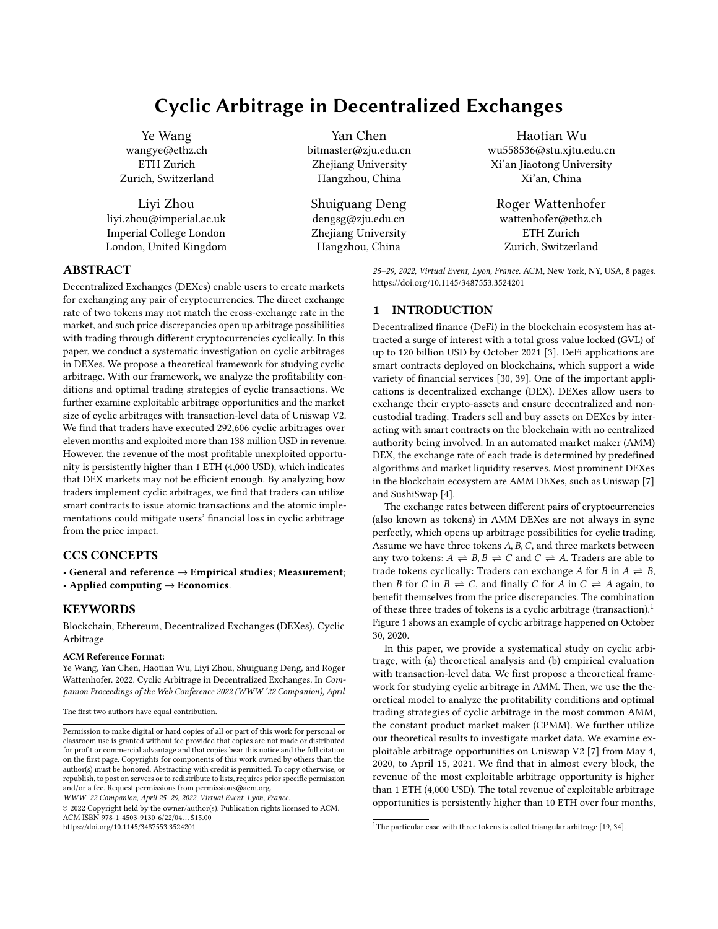

Figure 1: An example cyclic arbitrage on Uniswap V2: The trader traded 285.71 USDC through four different exchange markets across USDC, USDT, Seal, Kp3r, and finally received 303.68 USDC. The revenue of this cyclic arbitrage is 17.97 USDC (18 USD).

which suggests that the market efficiency of DEXes might be limited. Later, we measure the market size of exploited cyclic arbitrage in Uniswap V2. We observe 292,606 cyclic transactions over eleven months. Traders receive a total revenue beyond 34,429.11 ETH and pay 8,458 ETH as gas fees. The market size of exploited cyclic arbitrage is significantly smaller than the exploitable opportunities because of the wide variety of tokens and the high gas fees. Finally, we investigate the implementations of cyclic arbitrage. We find that only 0.03% of traders submit trades sequentially with multiple blockchain transactions for a single cyclic arbitrage. Alternatively, traders always utilize smart contract technology to submit a cyclic arbitrage within a single blockchain transaction. Such atomic implementations mitigate the financial loss of users in cyclic arbitrage.

To the best of our knowledge, this is the first paper to study the traders' arbitrage behavior of cryptocurrency theoretically and empirically. We make the following contributions. First, we provide a systematical understanding of cyclic arbitrage, with the theoretical analysis of the arbitrage model, the measurement of exploitable arbitrage opportunities, the measurement of exploited cyclic arbitrage, and the measurement of cyclic arbitrage implementations. Second, we provide the measurement of state-of-the-art in terms of (cyclic) arbitrages in DEXes. Finally, we reveal that blockchain technology enables users to explore more trading strategies. Further studies in DEXes may provide us with novel understandings of user behaviors in financial markets.

#### 2 BACKGROUND AND RELATED WORK

#### 2.1 Ethereum and Smart Contract

Ethereum is a public blockchain platform, which supports Turing complete functions [44]. In contrast to earlier blockchain systems such as Bitcoin, Ethereum allows for decentralized peer-to-peer transactions, and has generic computation capabilities through smart contracts. A smart contract is a set of programs written in high-level languages, e.g., Solidity. Creators compile these programs into executable byte-code and deploy the smart contract on Ethereum.

There are two kinds of accounts in Ethereum: (a) externally owned accounts (EOAs), i.e., those controlled by human users with the corresponding private key, and (b) smart contract accounts

WWW '22 Companion, April 25-29, 2022, Virtual Event, Lyon, France. Ye Wang, Yan Chen, Haotian Wu, Liyi Zhou, Shuiguang Deng, and Roger Waenhofer

(CAs), i.e., those controlled by executable code [44]. An Ethereum transaction is broadcast by an EOA to the Ethereum network, while miners then collect transactions and record them in blocks. EOAs can send three types of transactions: simple transaction, to transfer the native currency, ETH; smart contract creation transaction, to create a new smart contract; and smart contract execution transaction, to execute a specific function of a smart contract.

When a transaction is included in blocks by miners, the operation corresponding to the message takes effect. The miner who creates the block modifies the state of corresponding accounts. Each step of the miner's operation consumes a certain amount of gas, and the amount of gas consumed in each block is capped. Users need to specify a gas price for the operation execution when sending transactions. The fee paid by the initiator of transactions to miners is determined by the amount of gas consumed and the gas price (gas fee = gas price  $\times$  gas consumption). The miner records receipts of the executed transactions in Ethereum blocks, including the information of the gas fee, the identity of the transaction, and other information generated by smart contracts during the execution.

#### 2.2 Decentralized Exchanges (DEXes)

Based on the support of the smart contract, users can create cryptocurrencies on Ethereum in addition to the native coin ETH [12]. As of October, 2021, more than 450,000 tokens exist on Ethereum platform [5]. Such development of the blockchain ecosystem incentives the emergence of on-chain financial systems, i.e., Decentralized Finance (DeFi). DeFi applications are smart contracts deployed on Ethereum, which support sophisticated financial services, such as borrowing and lending [28], asset exchanges [7], leverage trading [1], as well as novel applications such as flash loans [41].

Decentralized exchanges (DEXes) are one of the financial infrastructures of the blockchain ecosystem. Compared to centralized exchanges (CEXes), DEXes do not involve any centralized operators. Users do not need to transfer their assets to the operator before conducting market operations [22]. In contrast, they send on-chain transactions to DEXes smart contracts to place orders while they keep control of their assets during the entire process. DEXes support mutual trades among different cryptocurrencies. The prevalent DEX mechanisms operate through so-called automated market makers (AMM), which aggregate liquidity (i.e., cryptocurrencies) within liquidity pools contributed by liquidity providers. Traders can exchange cryptocurrencies with the liquidity pool and pay commission fees to the liquidity providers. For example, when traders want to exchange cryptocurrency  $A$  for  $B$ , they can call a smart contract function that transfers  $A$  from the traders' accounts to the liquidity pool between  $A$  and  $B$ . The liquidity pool then sends  $B$  to the traders' account. The exchange process does not involve the participation of any other traders. The exchange rate between A and  $B$  is determined by transparently predefined functions encoded in the DEX smart contract.

The constant product function is one of the most widely used pricing mechanism. Assume a trader want to exchange  $\delta_a$  of A for  $B$  token and the liquidity of  $A$  and  $B$  are  $a$  and  $b$ , respectively. The following equation always hold during the transaction:  $a \cdot b =$  $(a + \delta_a \cdot r_1) \cdot (b - \frac{\delta_b}{r_2})$ , where  $r_1$  and  $r_2$  denote the commission fee in asset A and B respectively. In Uniswap [7],  $r_1 = 0.997$  and  $r_2 = 1$ ,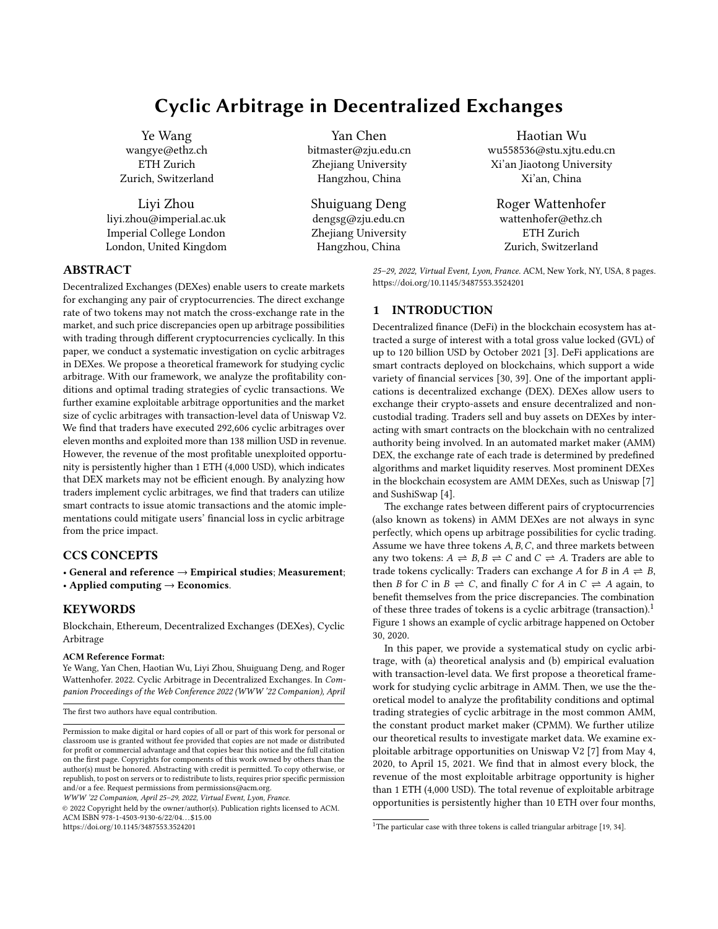which indicates that the commission fee is equal to  $0.3\% \cdot \delta_a$ . The remaining liquidity in the pool equals to  $(a + \delta_a, b - \frac{r_1 \cdot r_2 \cdot b \cdot \delta_a}{a+r_1 \cdot \delta_a}).$ 

#### 2.3 Arbitrage in Cryptocurrency Markets

Research on arbitrage in cryptocurrencies is still in its beginning. Previous studies focus on either theoretical analysis of the behavior of miners and traders in blockchain systems [9, 16, 17, 25–27, 31, 33, 36, 42, 43], or the influence of cryptocurrencies as a potential payment and transaction mechanism in financial markets [8, 11, 15, 21, 24, 37].

Some recent studies [10, 20, 32, 35, 38] have noted the prices discrepancies of cryptocurrencies in CEXes. Makarov and Schoar [32] studied price deviations and potential arbitrage opportunities of Bitcoin, Ethereum, and Ripple for 34 CEXes across 19 countries. They observed significant market segmentation among different countries and suggested that capital controls are the main reasons for market segmentation. Nan and Kaizoji [35] studied the potential triangular arbitrage with Bitcoin, Euro and U.S. dollar and analyzed market data with a bivariate GARCH model. Nevertheless, previous studies have only investigated exploitable arbitrage opportunities in CEXes, and none of them have measured exploited arbitrages in the market. Meanwhile, the arbitrage strategy they studied has many constraints to be implemented in markets, such as cross-border capital controls and instantaneous transfers between CEXes.

Recently, DEXes have attracted attention worldwide as an emerging alternative of CEXes for exchanging cryptocurrencies. Daian et al. [13, 14] have analyzed the fundamental weakness of DEXes: slow (on-chain) trading. Since transactions are broadcast in the Ethereum network, adversaries can observe profitable transactions before they are executed and place their own orders with higher fees to front-run the target victim. Front-running attackers bring threats to the market and system stability. Arbitrageurs optimize network latency aggressively and conduct priority gas auctions to front-run profitable trades [29], which results in excessive transaction fees affecting normal users in blockchain ecosystems. Moreover, because of the high miner-extractable value, fee-based forking attacks and time-bandit attacks are created and bring systemic consensuslayer vulnerabilities. Zhou et al. [45] and Torres et al. [18] studied sandwiching attacks, i.e., combinations of front and back-running, in DEXes. When observing a victim transaction, attackers place one order just before it (front-run) and place an order just after it (back-run) to benefit themselves through the variance of the exchange rates. Qin et al. [40] quantified the revenue of arbitrages in DEXes. However, this work lacks a systematic analysis of arbitrage behavior and only measures the exploited arbitrage opportunities of 144 cryptocurrencies.

Compared to previous studies, our work fills the following two research gaps to provide a more comprehensive understanding of cyclic arbitrage. First, we do not only consider potential arbitrage opportunities in the market but also compare with exploited arbitrage opportunities. Second, we examine different implementations of arbitrage strategies in DEXes and discuss how smart contract technology could help traders to mitigate the financial loss from the price impact.

Algorithm 1 Compute the equivalent liquidity of the cycle

1:  $a'_{1,n} \leftarrow a_{1,2}$ 2:  $a_{n,1}^{\prime\prime} \leftarrow a_{2,1}$ 3: for *i* from 2 to  $n-1$  do 4:  $a'_{1,n} \leftarrow \frac{a'_{1,n} \cdot a_{i,i+1}}{a_{i,i+1} + r_1 \cdot r_2 \cdot a_{i+1}}$  $\overline{a_{i,i+1}+r_1\cdot r_2\cdot a'_{n,1}}$ 5:  $a'_{n,1} \leftarrow \frac{r_1 \cdot r_2 \cdot a'_{n,1} \cdot a_{i+1,i}}{a_{i,i+1} + r_1 \cdot r_2 \cdot a'_{i+1,i}}$  $\overline{a_{i,i+1}+r_1\cdot r_2\cdot a'_{n,1}}$ 6: end for

#### 3 CYCLIC ARBITRAGE MODEL

In this section, we propose a theoretical framework of cyclic arbitrage, and then examine the profitability and the optimal revenue of cyclic arbitrage in CPMM.

Arbitrage model: A cyclic transaction between n tokens  $A_1, A_2, \ldots, A_n$ is a sequence of  $n$  trades:

Trade 1: Exchange  $\delta_1$  of  $A_1$  with  $\delta_2$  of  $A_2$ .

Trade 2: Exchange  $\delta_2$  of  $A_2$  with  $\delta_3$  of  $A_3$ .

. . .

Trade n: Exchange  $\delta_n$  of  $A_n$  with  $\delta'_1$  of  $A_1$ .

Note that the output of *Trade i* exactly equals to the input of Trade  $i + 1$ , while the revenue of the cyclic transaction is differences between the output of *Trade n* and the input of *Trade* 1, i.e.,  $\delta_1' - \delta_1$ .

As we state in the introduction, the exchange rates between different token pairs may not be synchronized perfectly. However, it is not clear under which conditions that exploitable arbitrage opportunities exist in the market as users also need to pay the commission fee for each trade. Therefore, we analyze the profitability and the optimal trading strategy of a cyclic arbitrage in CPMM.

Profitability conditions: Traders can benefit from the cyclic transaction only if the revenue is larger than 0. We generalize the profitability conditions for  $n$  tokens in Theorem 1. In general words, only if the arbitrage index, i.e., the product of  $n$  exchange rates along the cycle, is larger than the commission fees paid in the  $n$ pools, there exists exploitable cyclic arbitrage opportunity.

THEOREM 1. For a given cycle  $A_1 \rightarrow A_2 \rightarrow \ldots \rightarrow A_n \rightarrow A_1$ with n tokens, there exists an arbitrage opportunity for the cyclic transaction if the product of exchange rates  $\frac{a_{2,1} \cdot a_{3,2} \cdot ... \cdot a_{1,n}}{a_{1,2} \cdot a_{2,3} \cdot ... \cdot a_{n,1}} > \frac{1}{r_1^{n} \cdot r_2^{n}}$ where  $a_{i,j}$  denotes the liquidity of token  $A_i$  in the liquidity pool with token  $A_j$ . Meanwhile, the arbitrage cannot benefit from the reversed direction  $A_1 \rightarrow A_n \rightarrow \ldots \rightarrow A_2 \rightarrow A_1$  for cyclic transactions.

Optimal trading strategy: In addition to noticing whether there are exploitable cyclic arbitrage opportunities in markets with Theorem 1, it is also important for traders to find a proper trading strategy to maximize the revenue. It is intuitive that if the derivative of the revenue function to the initial trading amount is zero, then we acquire the optimal revenue. We design an algorithm to compute the optimal trading volume of a cyclic arbitrage (cf. Algorithm 1).

### 4 CYCLIC ARBITRAGE OPPORTUNITIES

From Algorithm 1, we can infer that only the amounts of reserved tokens in liquidity pools and the trading direction are needed for determining the optimal trading strategies. When an Ethereum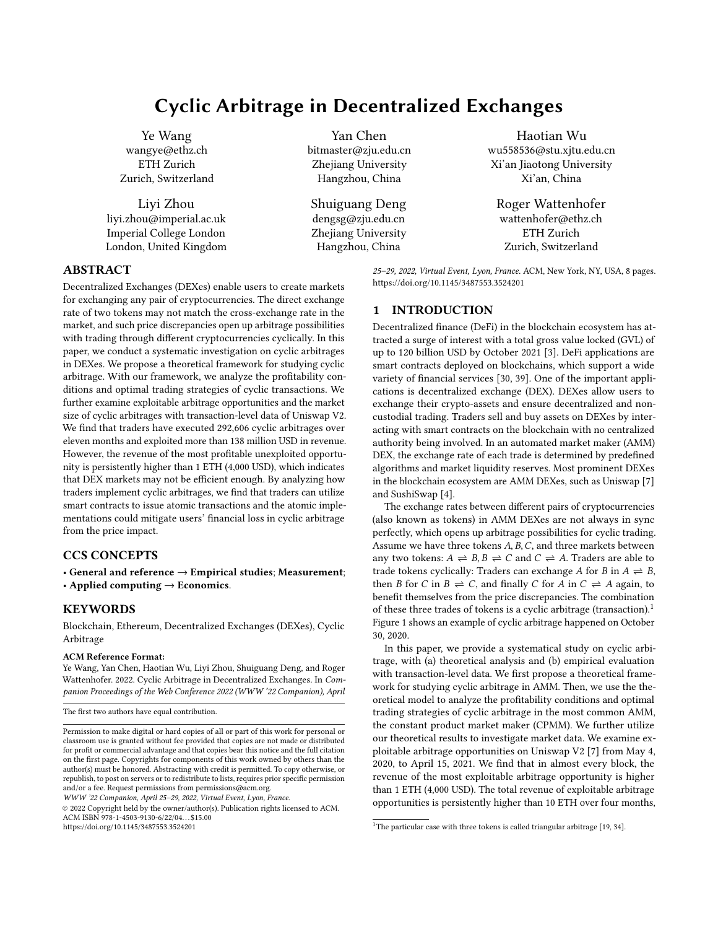

Figure 2: Number of exploitable opportunities in Uniswap V2 over time. The purple line represents the number of cycles that provide revenue higher than 0.0001 ETH. The green represents the number of cycles whose revenue is under 0.001 ETH. The blue line represents the number of cycles whose revenue is under 0.01 ETH.

block is published, the updated information of liquidity pools is available to all traders. Therefore, with our theoretical model, we are able to investigate exploitable cyclic arbitrage opportunities in DEXes. We choose Uniswap V2 as the example for the empirical analysis because Uniswap V2 has the longest operation time, the most active traders, and the most liquidity pools among all DEXes [2, 6].

Data collection: Every market operation on Uniswap is recorded on Ethereum blocks. We launch go-ethereum, an Ethereum client, on our server to collect data from block 10000835 (when Uniswap V2 has been deployed, 4th May 2020) to block 12244144 (15th April 2021). We observe that a Sync event is recorded in the blockchain receipt when a market operation happens on Uniswap, and the event includes the liquidity of tokens in the pool after the market operation. Therefore, by collecting all Sync events, we are able to recover the market states of all liquidity pools on Uniswap V2 over time. More preciously, we build a dataset that includes the liquidity reserved in all liquidity pools on Uniswap V2 after the execution of transactions in each block.

Profitable opportunities: With such a dataset, we find profitable cycles in the market and compute the optimal trading input of each exploitable cyclic transaction and the corresponding revenue. We consider exploitable cyclic arbitrage opportunities within the cycles with length three that involve ETH. As more than 80% liquidity pools in Uniswap V2 are between ETH and another cryptocurrency [23], we infer that we provide a reasonable lower bound for estimating the exploitable opportunities.

Because most Ethereum transactions pay more than 0.0001 ETH as gas fee to miners, we count the number of cycles that can provide revenue higher than  $0.0001$  ETH in Figure  $2<sup>2</sup>$ . The number of

WWW '22 Companion, April 25-29, 2022, Virtual Event, Lyon, France. Ye Wang, Yan Chen, Haotian Wu, Liyi Zhou, Shuiguang Deng, and Roger Waenhofer



Figure 3: Exploitable revenue of cyclic arbitrage in each block. The blue line represents the maximum revenue of a single arbitrage opportunity, while the orange line represents the sum of a set of independent cyclic arbitrage opportunities.

exploitable arbitrage opportunities has increased to 1,750 in eleven months. However, we should not overestimate the potential revenue as some cyclic strategies are mutually exclusive. For instance, if two cycles involve the same pair of tokens, only one of them can be exploited with the optimal trading volume.

Therefore, we consider a set of independent cycles (none of them involves the same liquidity pool) at each block and sum up the revenue of exploiting them, which provides a lower bound of the total revenue that traders can take from the market over time (cf. Figure 3). We find that since July 2020, when the market has been developing, the potential revenue of cyclic arbitrage in each block reaches 100 ETH, while the maximum revenue of a single cycle is higher than 10 ETH. However, between November 2020 and March 2021, the total potential revenue per block drops to less than 10 ETH.

Remarks: Previous studies on arbitrage opportunities of cryptocurrency have mainly focused on CEXes. Compared with their results, we find the following two characteristics of cyclic arbitrage opportunities in DEX.

Wider range of arbitrage: Since CEXes operators will audit the cryptocurrencies trading on the platform, and DEXes support any trading pairs of tokens, the range of the market is wider in DEXes, which further introduces arbitrage opportunities across a broader range of cryptocurrencies. For instance, at the time of writing the paper, Uniswap V2 enables trades between 30,000 tokens while Binance, one of the biggest CEX, only supports less than 400 tokens. We find that more than 2890 liquidity pools and 1143 tokens have been involved in arbitrage opportunities larger than 0.1 ETH (400 USD), which indicates that the range of tokens in cyclic arbitrage is wider in DEXes than CEXes (1,143 vs. 400).

Larger market size: Compared to the arbitrage market in CEXes, the market size in DEXes are larger. As reported by Makarov and Schoar [32], the potential arbitrage revenue between 34 CEXes is 2 billion USD over four months (16 million USD per day). However, in a single DEX, i.e., Uniswap V2, as the exploitable revenue of

 $^2\!$  The basic gas consumption of a Uniswap transaction is higher than 100,000 and the gas price is always higher than 1 GWei (10<sup>-9</sup> ETH per gas).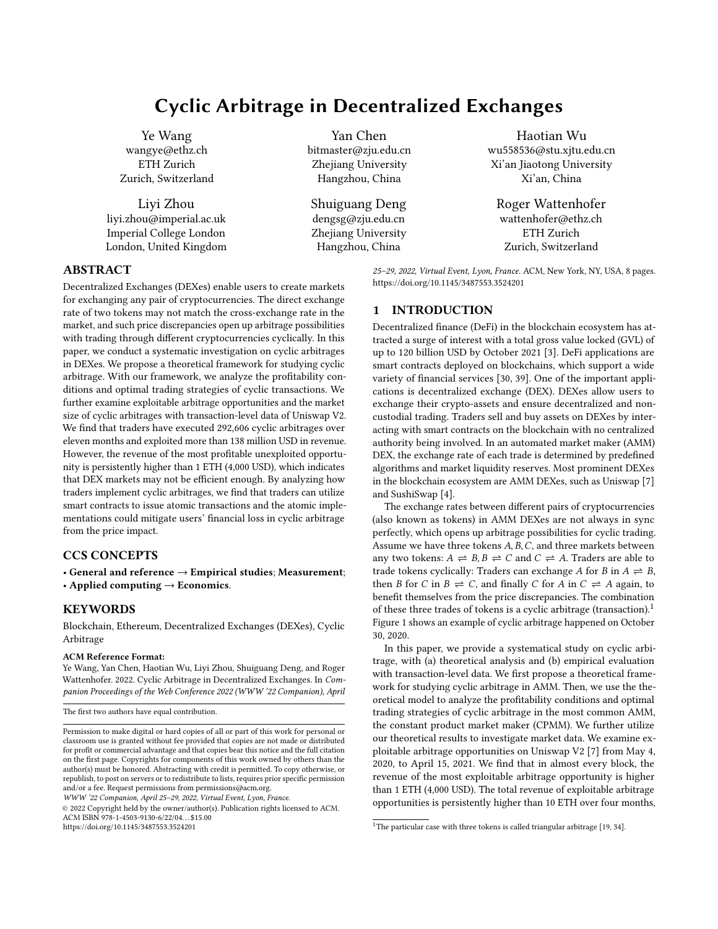

Figure 4: Daily number of cyclic arbitrages.

each block exceeds 1 ETH and there are 6,000 blocks per day, the daily revenue is much higher than 24 million USD, even reaching 240 million USD. Moreover, the arbitrage index in CEXes is always lower than 1.1 [32]. However, the maximum revenue of a single arbitrage opportunity in Uniswap V2 is persistently larger than 1 ETH since July 2020, which suggests that it might be more efficient to exploit arbitrage opportunities in DEXes than in CEXes.

#### 5 ARBITRAGE MARKETS

After noticing the exploitable arbitrage opportunities in Uniswap V2, we further investigate how many cyclic arbitrages have been executed in the market and how much revenue traders have exploited.

Data collection: For each successful exchange between two tokens, a Swap event will be recorded in the blockchain receipt, and the event includes all trading information, including the input amount of tokens and the output amount tokens. Therefore, we can use the heuristics in Section 3 to determine cyclic transactions. Note that apart from the heuristics mentioned before, we recognize a cyclic transaction such that all trades are executed within 100 blocks ( 25 minutes). Because of the volatility in the market price, it is hard to argue that two trades with a time gap of 25 minutes is for exploiting a cyclic arbitrage opportunity.

Overall statistics: Until April 15, 2021, we find 292,606 cyclic transactions, while 287,241 of them start with ETH. These arbitrages happened in 17,189 different cycles. The most popular cycle is ETH-LCX-REVV with 4710 arbitrages. Only 265 cycles have been exploited more than ten times. Around 85% of cyclic transactions (247,297) are implemented with cycle of length 3. These observations are consistent with our claims in Section 4 that the DEXes have a broad range of cryptocurrencies in arbitrage, and counting the cycle with length three can provide a reasonable lower bound of cyclic arbitrage opportunities.

Transaction number: Figure 4 shows the daily number of cyclic transactions in Uniswap. Traders started to perform cyclic arbitrage from May 20, 2020, two weeks after the start of Uniswap V2 (May 04, 2020). From May 2020 to September 2020, the market has been



Figure 5: Revenue of cyclic transactions in Uniswap (in ETH). The black line shows a daily market size. The dotted orange line shows the cumulative market size.



Figure 6: Distribution of gas fee per transaction.

growing, reaching more than 3,000 cyclic transactions per day, and then the market enters a relatively active period with more than 1,000 cyclic transactions per day. The market becomes consistent and stable after January 2021, with 600 transactions per day.

Transaction revenue: Because more than 98% of cyclic transactions start with ETH and there might be error if we sum up the revenue of different cryptocurrencies, we report the revenue of those that start with ETH to provide a reasonable lower bound of the market size. Figure 5 shows the cyclic arbitrage market size, denominated in ETH. The black line shows the daily revenue of cyclic transactions, and the dotted orange line shows the cumulative revenue of cyclic transactions. The total revenue of cyclic arbitrage with ETH in Uniswap V2 is 34,429 ETH. At the early stage of the market (from May to July 2020), the market of cyclic arbitrage is negligible, i.e., always less than 10 ETH per day. Later on, the daily arbitrage market has increased to 1000 ETH, while traders become strategic, and the average revenue per transaction increases to 0.2 ETH until September 2020. Since October 2020, the market has become relatively stable with 100 ETH revenue per day, and the average revenue of each cyclic transaction is around 0.1 ETH. After January 2021, although the daily number of cyclic arbitrage decreases, the total revenue keeps at the same level as before, which indicates that traders can exploit more profitable arbitrage opportunities.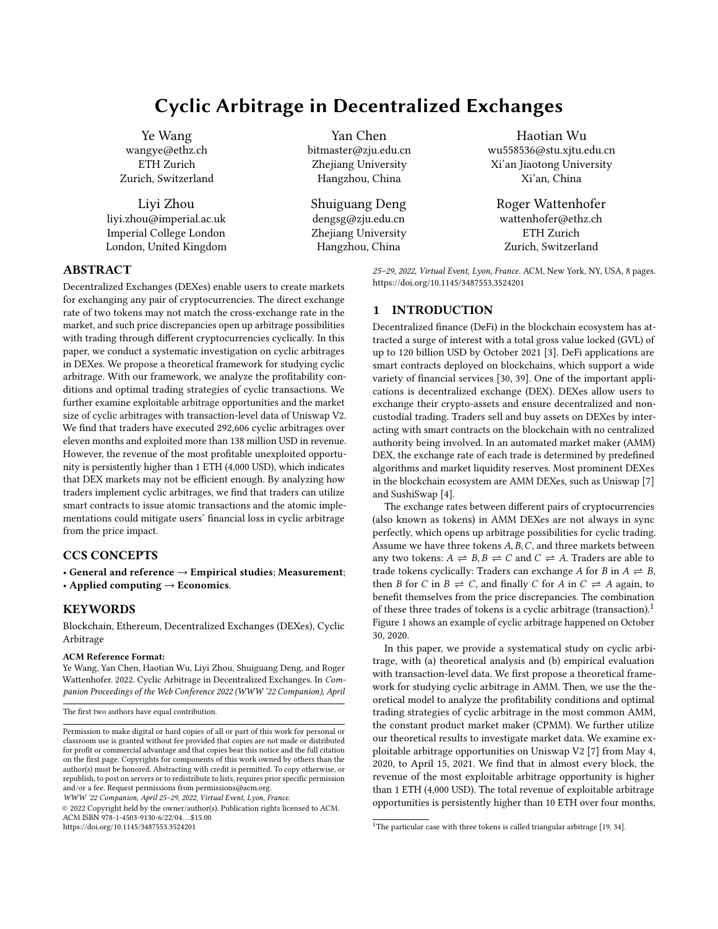

Figure 7: Distribution of profit and revenue per transaction.

Transaction cost: Apart from commission fees paid to liquidity providers that have been considered in our theoretical model, traders also need to pay gas fees to miners for executing their market operations. Figure 6 shows the distribution of the gas fee of cyclic transactions. Around half of transactions (48%) cost less than 0.02 ETH as the gas fee. The total gas fee (8,458 ETH) accounts for 24.6% of the total revenue (34,429.11 ETH) of cyclic transactions. Figure 7 compares arbitrage income and net profit for cyclic arbitrages. Only 7.1% of cyclic arbitrages result in negative profits. Gas fees drive revenue per cyclic arbitrage from 0.01-0.3 ETH gross revenue to 0-0.1 ETH net profit, where the majority of cyclic arbitrages (78.4%) falling in this range.

Remarks: Compared to arbitrage opportunities in the market, we find that although exploitable arbitrage opportunities exist in almost every block, there are much fewer cyclic arbitrage transactions happening in the market, which might indicate that DEXes are not efficient enough. Since the DEXes are fully built on the blockchain systems, there is a limitation of trading volume on the market. Moreover, because of the large size of DEXes, it will take traders time to find cycles with revenue to cover gas fees, as the gas fee of half cyclic arbitrage exceeds 0.02 ETH.

#### 6 ARBITRAGE IMPLEMENTATIONS

After studying exploited cyclic arbitrage opportunities, we continue to analyze how users implement their cyclic arbitrage strategies in the market. In this section, we study the implementations of cyclic arbitrage in DEXes from two perspectives. We first analyze how traders interact with smart contracts to mitigate the financial loss in cyclic arbitrage. Then, we examine the success rate in exploiting arbitrage opportunities of different methods.

Sequential implementation and atomic implementation: In traditional CEXes markets, after observing arbitrage opportunities, traders may directly submit  $n$  separate orders to realize the cyclic arbitrage. In DEXes, traders have different implementations with smart contract technology: sequential implementation and atomic implementation. Sequential implementation is similar to arbitrage implementations in CEXes. Traders submit  $n$  orders separately with  $n$  blockchain transactions, while these  $n$  transactions are executed sequentially. On the other hand, traders can deploy smart contracts to group all the  $n$  trades of a cyclic arbitrage into one blockchain transaction to realize atomic implementations. These  $n$  trades will be executed atomically, and no other transactions can be inserted in the middle of them. Moreover, during the execution of smart

WWW '22 Companion, April 25-29, 2022, Virtual Event, Lyon, France. Ye Wang, Yan Chen, Haotian Wu, Liyi Zhou, Shuiguang Deng, and Roger Waenhofer

contract, if some conditions have not been met, then Ethereum allows the smart contract to cancel the execution and revert the system state.

Our first observation of the arbitrage implementation is that 292,518 cyclic transactions are submitted within a single blockchain transaction and execute atomically, while only 88 cyclic arbitrages are conducted sequentially with different blockchain transactions, which indicates that atomic implementation of cyclic arbitrage dominates the entire market.

Because the order of blockchain transaction execution is determined by miners, there might be some other transactions executing in the middle of arbitrage trades if they are submitted separately. These external transactions might change the market price during the arbitrage process and generate the price impact. Consequently, 46 out of 88 sequential implementations of cyclic arbitrage have a negative revenue. In the scenario of cyclic arbitrage within a single transaction, if the output of the last trades is smaller than the input of the first trade because of the price impact of other transactions before the arbitrage execution, the execution of the  $n$  trades can be canceled, while the market states are reverted to those before the arbitrage. Although traders still pay the gas fee to the miner, they do not lose additional money for the non-profitable trades. Only 0.3% of atomic implementations have a negative revenue, which has a better performance than sequential implementations (52.3% of transactions have negative revenue).

Successful rate of atomic implementations: If the output of the cyclic transaction is smaller than the input, then the smart contract can cancel the execution of the transaction and result in a failed transaction recorded in the blockchain. Traders also need to pay a gas fee to miners for these failed transactions, which should be considered as the cost of cyclic arbitrage. Therefore, we investigate the success rate of atomic implementations.

For all failed transactions, there is no Swap event recorded in the blocks. Therefore, it is challenge to determine whether the transaction is aimed at cyclic arbitrage. We consider two methods to construct an upper bound and a lower bound for the success rate for each trader. For the lower bound, we just simply assume that all failed transactions issued by the traders who have ever placed a cyclic transaction are failed implementations of cyclic arbitrage. For the upper bound, we use a replay algorithm to evaluate all failed transactions [40]. As the cyclic transaction might be failed because of the price fluctuations between submitting and executing the cyclic transaction, we replay the failed transaction upon its previous block state. If the result of replaying the failed transaction with a non-influenced market state is a cyclic transaction, then we determine it as a failed implementation of cyclic arbitrage. With the upper and lower bounds, we can estimate the success rate of atomic implementations.

In general, traders conduct atomic implementations with two methods: deploying a private smart contract to call exchange functions of Uniswap (282,563 transactions, 840 smart contracts) and directly calling the Uniswap public smart contract (9,955 transactions). Because each trader may have several different EOAs, while only authenticated EOAs can call private smart contracts, we consider all EOAs who use the same smart contract to perform cyclic arbitrage belong to the same trader.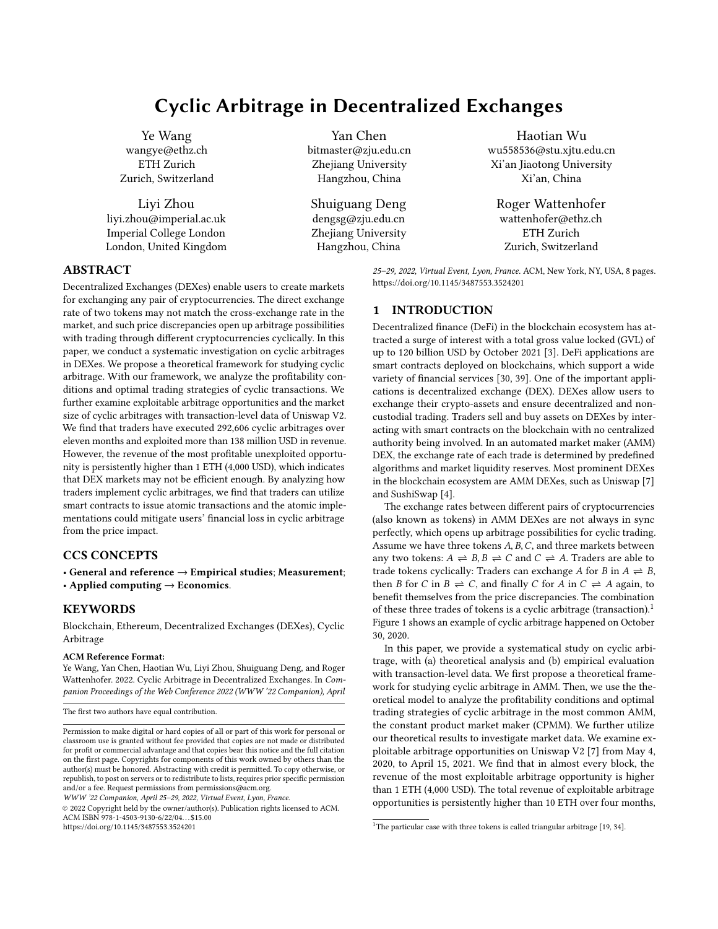

Figure 8: Lower bound of success rate of traders. The dotted line show the overall success rate of all traders.



Figure 9: Lower bound of net profit of traders.

Private smart contracts: We find that traders have called those private cyclic arbitrage smart contract 540,054 times in total and 282,563 successful transactions have been observed. The lower bound of the overall success rate is 52%, while most traders (475 out of 840) have a success rate higher than 90% (cf. Figure 8). If we consider the upper bound of success rates, then the overall success rate is 89.6% as only 34,236 failed transactions issued by arbitrage smart contracts can be recognized as cyclic transaction attempts with our replay experiments. The number of traders who have an upper bound success rate beyond 90% is 726. Figure 9 shows the distribution of the lower bounds of net profit of 840 smart contracts. The net profit (including failed attempts) of cyclic arbitrageurs is 21,360 ETH (upper bound: 25,742 ETH), while 66% (upper bound: 77.5%) of have a positive balance. Moreover, for those experienced traders who have performed more than 100 cyclic arbitrages, 119 (upper bound: 127) out of 129 traders have a positive net profit, suggesting that cyclic arbitrage is profitable over for experienced traders.

Public smart contracts: Those traders who use public functions to perform cyclic transactions have a much lower success rate than those who deploy private smart contracts. Because the smart contract is public so we can decode their transactions although it is failed executed on the blockchain, which provides us an accurate success rate. They made 36,492 arbitrage attempts interacting with the Uniswap smart contract, yielding a success rate of 27.3% (9,955 out of 36,492). Moreover, traders cost 224 ETH as gas fees for failed transactions, which is much higher than their cyclic arbitrage profit (192 ETH) with the public smart contract.

Remarks: Atomic implementations of cyclic arbitrage provide two advantages over sequential implementations. First, traders can ensure the completeness of their arbitrage transactions. Either all trades will be executed, or none of them will be executed. Although we only find 88 complete cyclic arbitrage with sequential implementations, there might be more attempts which are failed in the middle of the process and cannot be identified by us. Second, if the cycle is not profitable at the time of the transaction execution, the smart contract can revert to the state when the cyclic trades have not been executed, which mitigates the financial loss when conducting cyclic arbitrage. These two advantages motivate traders to implement arbitrage transactions atomically with smart contracts.

#### 7 CONCLUSION

In this paper, we provide a systematic study on cyclic arbitrage in AMM DEXes, including the arbitrage model, arbitrage opportunities, arbitrage markets, and arbitrage implementations. Additional to understanding cyclic arbitrages in DEXes, this paper also provides insights into two other areas. We compare the arbitrage markets in DEXes and CEXes and discuss the differences between the two exchanges, which may benefit further study in understanding trader behaviors in cryptocurrency markets. Second, we examine the advantages of smart contract technologies in DEXes markets, which may inspire further studies to explore how traders may utilize blockchain technologies in financial markets.

This paper focuses on the fundamental understandings of cyclic arbitrage in DEXes and raises many interesting and important questions. For example: how do traders decide their strategies; how traders' strategies are affected by average gas fees and over-time variation in congestion; how do cyclic arbitrages influence other market participants; and how do traders combine utilize other services in the blockchain ecosystem to exploit cyclic arbitrage opportunities? We would like to investigate these follow up research questions in future work to promote understanding of user behaviors in the blockchain ecosystem.

#### ACKNOWLEDGMENTS

This work was supported in part by the Key Research Project of Zhejiang Province under Grant 2022C01145 and in part by the National Science Foundation of China under Grants U20A20173 and 62125206.